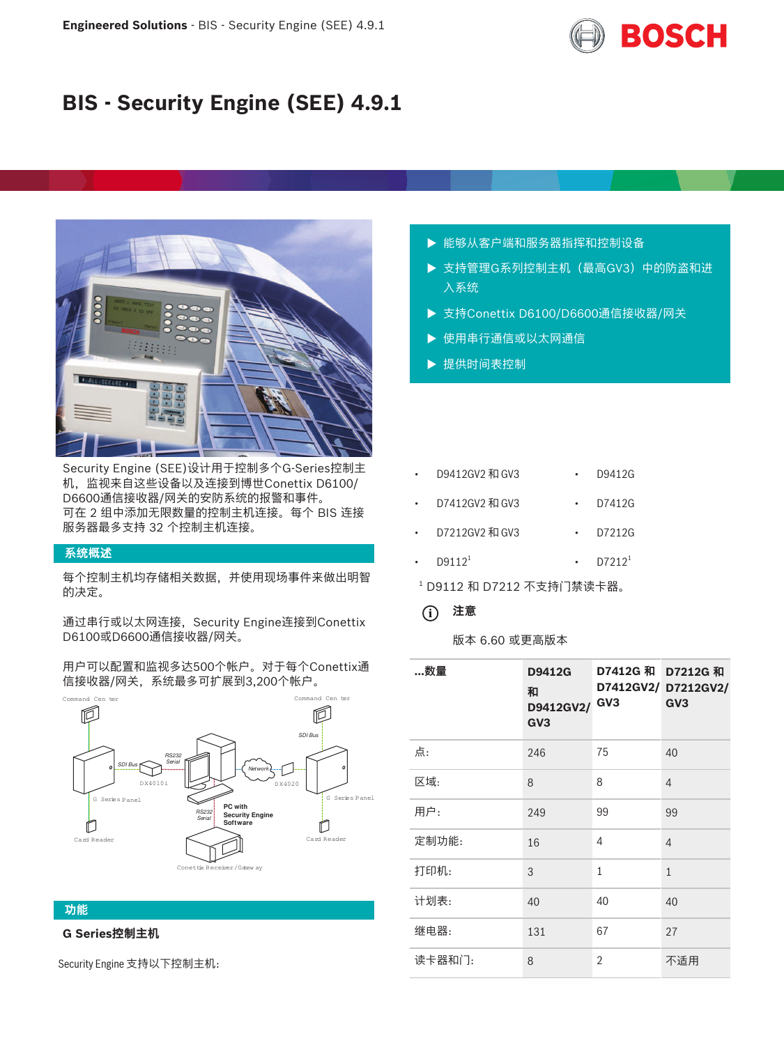

# **BIS - Security Engine (SEE) 4.9.1**



Security Engine (SEE)设计用于控制多个G-Series控制主 机,监视来自这些设备以及连接到博世Conettix D6100/ D6600通信接收器/网关的安防系统的报警和事件。 可在 2 组中添加无限数量的控制主机连接。每个 BIS 连接 服务器最多支持 32 个控制主机连接。

## **系统概述**

每个控制主机均存储相关数据,并使用现场事件来做出明智 的决定。

通过串行或以太网连接, Security Engine连接到Conettix D6100或D6600通信接收器/网关。

用户可以配置和监视多达500个帐户。对于每个Conettix通 信接收器/网关,系统最多可扩展到3,200个帐户。



### **功能**

# **G Series控制主机**

Security Engine 支持以下控制主机:

- ▶ 能够从客户端和服务器指挥和控制设备
- ▶ 支持管理G系列控制主机(最高GV3)中的防盗和进 入系统
- ▶ 支持Conettix D6100/D6600通信接收器/网关
- ▶ 使用串行通信或以太网通信
- ▶ 提供时间表控制

| D9412GV2 和 GV3     | D9412G    |
|--------------------|-----------|
| D7412GV2 和 GV3     | D7412G    |
| D7212GV2 和 GV3     | D7212G    |
| D9112 <sup>1</sup> | $D7212^1$ |
|                    |           |

1 D9112 和 D7212 不支持门禁读卡器。

# **i 注意**

## 版本 6.60 或更高版本

| …数量    | D9412G<br>和<br>D9412GV2/<br>GV3 | D7412G 和 D7212G 和<br>GV3 | D7412GV2/ D7212GV2/<br>GV <sub>3</sub> |
|--------|---------------------------------|--------------------------|----------------------------------------|
| 点:     | 246                             | 75                       | 40                                     |
| 区域:    | 8                               | 8                        | $\overline{4}$                         |
| 用户:    | 249                             | 99                       | 99                                     |
| 定制功能:  | 16                              | 4                        | 4                                      |
| 打印机:   | 3                               | $\mathbf{1}$             | $\mathbf{1}$                           |
| 计划表:   | 40                              | 40                       | 40                                     |
| 继电器:   | 131                             | 67                       | 27                                     |
| 读卡器和门: | 8                               | 2                        | 不适用                                    |